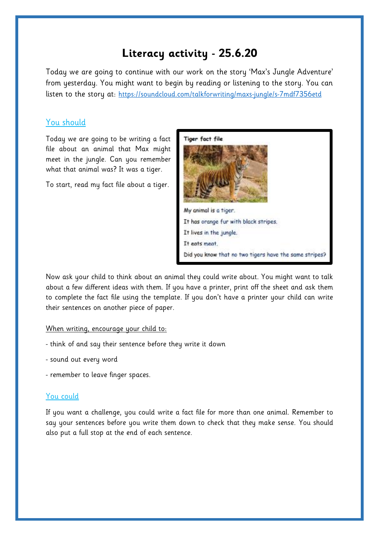# **Literacy activity - 25.6.20**

Today we are going to continue with our work on the story 'Max's Jungle Adventure' from yesterday. You might want to begin by reading or listening to the story. You can listen to the story at: <https://soundcloud.com/talkforwriting/maxs-jungle/s-7mdf7356etd>

### You should

Today we are going to be writing a fact file about an animal that Max might meet in the jungle. Can you remember what that animal was? It was a tiger.

To start, read my fact file about a tiger.



Now ask your child to think about an animal they could write about. You might want to talk about a few different ideas with them. If you have a printer, print off the sheet and ask them to complete the fact file using the template. If you don't have a printer your child can write their sentences on another piece of paper.

#### When writing, encourage your child to:

- think of and say their sentence before they write it down
- sound out every word
- remember to leave finger spaces.

#### You could

If you want a challenge, you could write a fact file for more than one animal. Remember to say your sentences before you write them down to check that they make sense. You should also put a full stop at the end of each sentence.